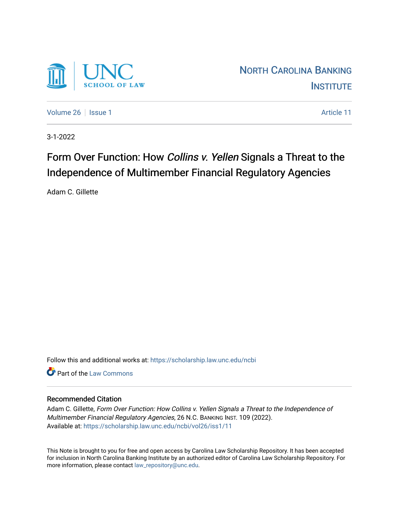

[Volume 26](https://scholarship.law.unc.edu/ncbi/vol26) | [Issue 1](https://scholarship.law.unc.edu/ncbi/vol26/iss1) Article 11

3-1-2022

# Form Over Function: How Collins v. Yellen Signals a Threat to the Independence of Multimember Financial Regulatory Agencies

Adam C. Gillette

Follow this and additional works at: [https://scholarship.law.unc.edu/ncbi](https://scholarship.law.unc.edu/ncbi?utm_source=scholarship.law.unc.edu%2Fncbi%2Fvol26%2Fiss1%2F11&utm_medium=PDF&utm_campaign=PDFCoverPages)

**C** Part of the [Law Commons](https://network.bepress.com/hgg/discipline/578?utm_source=scholarship.law.unc.edu%2Fncbi%2Fvol26%2Fiss1%2F11&utm_medium=PDF&utm_campaign=PDFCoverPages)

## Recommended Citation

Adam C. Gillette, Form Over Function: How Collins v. Yellen Signals a Threat to the Independence of Multimember Financial Regulatory Agencies, 26 N.C. BANKING INST. 109 (2022). Available at: [https://scholarship.law.unc.edu/ncbi/vol26/iss1/11](https://scholarship.law.unc.edu/ncbi/vol26/iss1/11?utm_source=scholarship.law.unc.edu%2Fncbi%2Fvol26%2Fiss1%2F11&utm_medium=PDF&utm_campaign=PDFCoverPages) 

This Note is brought to you for free and open access by Carolina Law Scholarship Repository. It has been accepted for inclusion in North Carolina Banking Institute by an authorized editor of Carolina Law Scholarship Repository. For more information, please contact [law\\_repository@unc.edu](mailto:law_repository@unc.edu).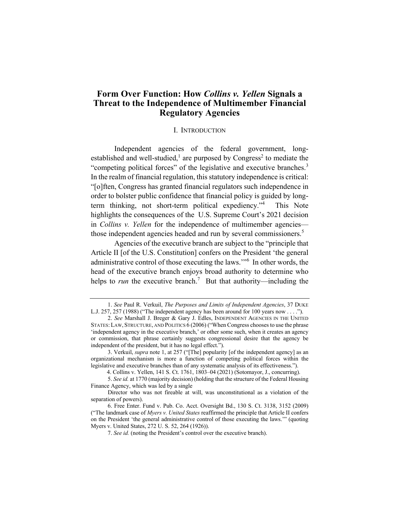## **Form Over Function: How** *Collins v. Yellen* **Signals a Threat to the Independence of Multimember Financial Regulatory Agencies**

#### I. INTRODUCTION

Independent agencies of the federal government, longestablished and well-studied,<sup>1</sup> are purposed by Congress<sup>2</sup> to mediate the "competing political forces" of the legislative and executive branches.<sup>3</sup> In the realm of financial regulation, this statutory independence is critical: "[o]ften, Congress has granted financial regulators such independence in order to bolster public confidence that financial policy is guided by longterm thinking, not short-term political expediency."<sup>4</sup> This Note highlights the consequences of the U.S. Supreme Court's 2021 decision in *Collins v. Yellen* for the independence of multimember agencies those independent agencies headed and run by several commissioners.<sup>5</sup>

Agencies of the executive branch are subject to the "principle that Article II [of the U.S. Constitution] confers on the President 'the general administrative control of those executing the laws.'"<sup>6</sup> In other words, the head of the executive branch enjoys broad authority to determine who helps to *run* the executive branch.<sup>7</sup> But that authority—including the

<sup>1.</sup> *See* Paul R. Verkuil, *The Purposes and Limits of Independent Agencies*, 37 DUKE L.J. 257, 257 (1988) ("The independent agency has been around for 100 years now . . . .").

<sup>2.</sup> *See* Marshall J. Breger & Gary J. Edles, INDEPENDENT AGENCIES IN THE UNITED STATES:LAW, STRUCTURE, AND POLITICS 6 (2006) ("When Congress chooses to use the phrase 'independent agency in the executive branch,' or other some such, when it creates an agency or commission, that phrase certainly suggests congressional desire that the agency be independent of the president, but it has no legal effect.").

<sup>3.</sup> Verkuil, *supra* note 1, at 257 ("[The] popularity [of the independent agency] as an organizational mechanism is more a function of competing political forces within the legislative and executive branches than of any systematic analysis of its effectiveness.").

 <sup>4.</sup> Collins v. Yellen, 141 S. Ct. 1761, 1803–04 (2021) (Sotomayor, J., concurring).

<sup>5.</sup> *See id.* at 1770 (majority decision) (holding that the structure of the Federal Housing Finance Agency, which was led by a single

Director who was not fireable at will, was unconstitutional as a violation of the separation of powers).

<sup>6.</sup> Free Enter. Fund v. Pub. Co. Acct. Oversight Bd., 130 S. Ct. 3138, 3152 (2009) ("The landmark case of *Myers v. United States* reaffirmed the principle that Article II confers on the President 'the general administrative control of those executing the laws.'" (quoting Myers v. United States, 272 U. S. 52, 264 (1926)).

<sup>7.</sup> *See id.* (noting the President's control over the executive branch).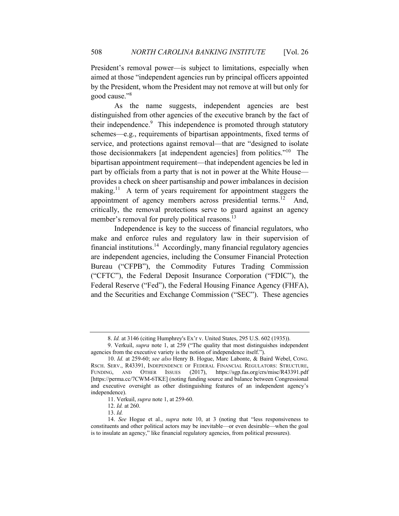President's removal power—is subject to limitations, especially when aimed at those "independent agencies run by principal officers appointed by the President, whom the President may not remove at will but only for good cause."8

As the name suggests, independent agencies are best distinguished from other agencies of the executive branch by the fact of their independence.<sup>9</sup> This independence is promoted through statutory schemes—e.g., requirements of bipartisan appointments, fixed terms of service, and protections against removal—that are "designed to isolate those decisionmakers [at independent agencies] from politics."10 The bipartisan appointment requirement—that independent agencies be led in part by officials from a party that is not in power at the White House provides a check on sheer partisanship and power imbalances in decision making.<sup>11</sup> A term of years requirement for appointment staggers the appointment of agency members across presidential terms.<sup>12</sup> And, critically, the removal protections serve to guard against an agency member's removal for purely political reasons.<sup>13</sup>

Independence is key to the success of financial regulators, who make and enforce rules and regulatory law in their supervision of financial institutions.<sup>14</sup> Accordingly, many financial regulatory agencies are independent agencies, including the Consumer Financial Protection Bureau ("CFPB"), the Commodity Futures Trading Commission ("CFTC"), the Federal Deposit Insurance Corporation ("FDIC"), the Federal Reserve ("Fed"), the Federal Housing Finance Agency (FHFA), and the Securities and Exchange Commission ("SEC"). These agencies

<sup>8.</sup> *Id.* at 3146 (citing Humphrey's Ex'r v. United States, 295 U.S. 602 (1935)).

<sup>9.</sup> Verkuil, *supra* note 1, at 259 ("The quality that most distinguishes independent agencies from the executive variety is the notion of independence itself.").

<sup>10.</sup> *Id.* at 259-60; *see also* Henry B. Hogue, Marc Labonte, & Baird Webel, CONG. RSCH. SERV., R43391, INDEPENDENCE OF FEDERAL FINANCIAL REGULATORS: STRUCTURE, FUNDING, AND OTHER ISSUES (2017), https://sgp.fas.org/crs/misc/R43391.pdf [https://perma.cc/7CWM-6TKE] (noting funding source and balance between Congressional and executive oversight as other distinguishing features of an independent agency's independence).

<sup>11.</sup> Verkuil, *supra* note 1, at 259-60.

<sup>12.</sup> *Id.* at 260.

<sup>13.</sup> *Id.* 

<sup>14.</sup> *See* Hogue et al., *supra* note 10, at 3 (noting that "less responsiveness to constituents and other political actors may be inevitable—or even desirable—when the goal is to insulate an agency," like financial regulatory agencies, from political pressures).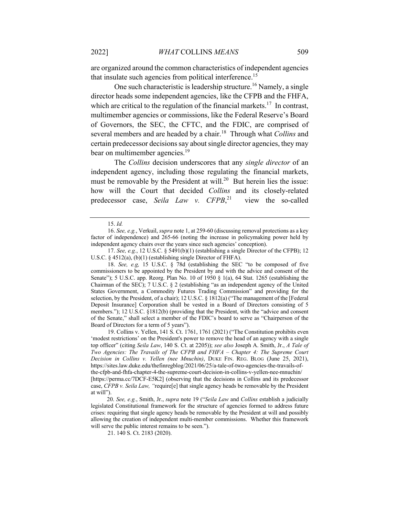are organized around the common characteristics of independent agencies that insulate such agencies from political interference.<sup>15</sup>

One such characteristic is leadership structure.<sup>16</sup> Namely, a single director heads some independent agencies, like the CFPB and the FHFA, which are critical to the regulation of the financial markets.<sup>17</sup> In contrast, multimember agencies or commissions, like the Federal Reserve's Board of Governors, the SEC, the CFTC, and the FDIC, are comprised of several members and are headed by a chair.18 Through what *Collins* and certain predecessor decisions say about single director agencies, they may bear on multimember agencies.<sup>19</sup>

The *Collins* decision underscores that any *single director* of an independent agency, including those regulating the financial markets, must be removable by the President at will.<sup>20</sup> But herein lies the issue: how will the Court that decided *Collins* and its closely-related predecessor case, *Seila Law v. CFPB*, view the so-called

18. *See, e.g,* 15 U.S.C. § 78d (establishing the SEC "to be composed of five commissioners to be appointed by the President by and with the advice and consent of the Senate"); 5 U.S.C. app. Reorg. Plan No. 10 of 1950  $\S$  1(a), 64 Stat. 1265 (establishing the Chairman of the SEC); 7 U.S.C. § 2 (establishing "as an independent agency of the United States Government, a Commodity Futures Trading Commission" and providing for the selection, by the President, of a chair); 12 U.S.C. § 1812(a) ("The management of the [Federal Deposit Insurance] Corporation shall be vested in a Board of Directors consisting of 5 members."); 12 U.S.C. §1812(b) (providing that the President, with the "advice and consent of the Senate," shall select a member of the FDIC's board to serve as "Chairperson of the Board of Directors for a term of 5 years").

19. Collins v. Yellen, 141 S. Ct. 1761, 1761 (2021) ("The Constitution prohibits even 'modest restrictions' on the President's power to remove the head of an agency with a single top officer" (citing *Seila Law*, 140 S. Ct. at 2205)); *see also* Joseph A. Smith, Jr., *A Tale of Two Agencies: The Travails of The CFPB and FHFA – Chapter 4: The Supreme Court Decision in Collins v. Yellen (nee Mnuchin)*, DUKE FIN. REG. BLOG (June 25, 2021), https://sites.law.duke.edu/thefinregblog/2021/06/25/a-tale-of-two-agencies-the-travails-ofthe-cfpb-and-fhfa-chapter-4-the-supreme-court-decision-in-collins-v-yellen-nee-mnuchin/ [https://perma.cc/7DCF-E5K2] (observing that the decisions in Collins and its predecessor case, *CFPB v. Seila Law, "*require[e] that single agency heads be removable by the President at will").

 20. *See, e.g.*, Smith, Jr., *supra* note 19 ("*Seila Law* and *Collins* establish a judicially legislated Constitutional framework for the structure of agencies formed to address future crises: requiring that single agency heads be removable by the President at will and possibly allowing the creation of independent multi-member commissions. Whether this framework will serve the public interest remains to be seen.").

<sup>15.</sup> *Id.* 

<sup>16.</sup> *See, e.g.*, Verkuil, *supra* note 1, at 259-60 (discussing removal protections as a key factor of independence) and 265-66 (noting the increase in policymaking power held by independent agency chairs over the years since such agencies' conception).

<sup>17.</sup> *See, e.g.*, 12 U.S.C. § 5491(b)(1) (establishing a single Director of the CFPB); 12 U.S.C. § 4512(a), (b)(1) (establishing single Director of FHFA).

<sup>21. 140</sup> S. Ct. 2183 (2020).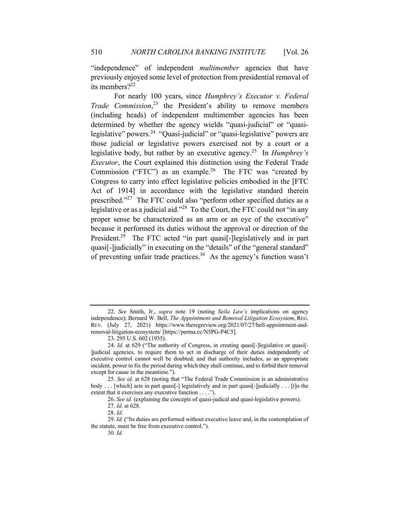"independence" of independent *multimember* agencies that have previously enjoyed some level of protection from presidential removal of its members?<sup>22</sup>

For nearly 100 years, since *Humphrey's Executor v. Federal Trade Commission*, <sup>23</sup> the President's ability to remove members (including heads) of independent multimember agencies has been determined by whether the agency wields "quasi-judicial" or "quasilegislative" powers.<sup>24</sup> "Quasi-judicial" or "quasi-legislative" powers are those judicial or legislative powers exercised not by a court or a legislative body, but rather by an executive agency. 25 In *Humphrey's Executor*, the Court explained this distinction using the Federal Trade Commission ("FTC") as an example.<sup>26</sup> The FTC was "created by Congress to carry into effect legislative policies embodied in the [FTC Act of 1914] in accordance with the legislative standard therein prescribed."<sup>27</sup> The FTC could also "perform other specified duties as a legislative or as a judicial aid."<sup>28</sup> To the Court, the FTC could not "in any proper sense be characterized as an arm or an eye of the executive" because it performed its duties without the approval or direction of the President.<sup>29</sup> The FTC acted "in part quasi<sup>[</sup>-]legislatively and in part quasi[-]judicially" in executing on the "details" of the "general standard" of preventing unfair trade practices. 30 As the agency's function wasn't

30. *Id.* 

<sup>22.</sup> *See* Smith, Jr., *supra* note 19 (noting *Seila Law's* implications on agency independence); Bernard W. Bell, *The Appointment and Removal Litigation Ecosystem*, REG. REV. (July 27, 2021) https://www.theregreview.org/2021/07/27/bell-appointment-andremoval-litigation-ecosystem/ [https://perma.cc/N5PG-P4C5].

<sup>23. 295</sup> U.S. 602 (1935).

<sup>24.</sup> *Id.* at 629 ("The authority of Congress, in creating quasi<sup>[-</sup>]legislative or quasi<sup>[-</sup> ]judicial agencies, to require them to act in discharge of their duties independently of executive control cannot well be doubted; and that authority includes, as an appropriate incident, power to fix the period during which they shall continue, and to forbid their removal except for cause in the meantime.").

<sup>25.</sup> *See id.* at 628 (noting that "The Federal Trade Commission is an administrative body . . . [which] acts in part quasi[-] legislatively and in part quasi[-]judicially . . . [t]o the extent that it exercises any executive function . . . .").

<sup>26.</sup> *See id.* (explaining the concepts of quasi-judical and quasi-legislative powers).

<sup>27.</sup> *Id.* at 628.

<sup>28.</sup> *Id.* 

<sup>29.</sup> *Id.* ("Its duties are performed without executive leave and, in the contemplation of the statute, must be free from executive control.").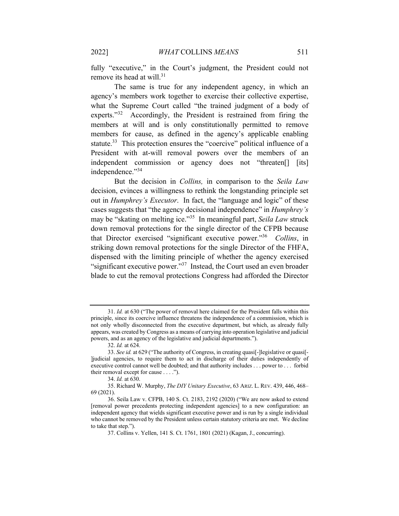fully "executive," in the Court's judgment, the President could not remove its head at will. $31$ 

The same is true for any independent agency, in which an agency's members work together to exercise their collective expertise, what the Supreme Court called "the trained judgment of a body of experts."<sup>32</sup> Accordingly, the President is restrained from firing the members at will and is only constitutionally permitted to remove members for cause, as defined in the agency's applicable enabling statute.<sup>33</sup> This protection ensures the "coercive" political influence of a President with at-will removal powers over the members of an independent commission or agency does not "threaten<sup>[]</sup> [its] independence."<sup>34</sup>

But the decision in *Collins,* in comparison to the *Seila Law*  decision, evinces a willingness to rethink the longstanding principle set out in *Humphrey's Executor*. In fact, the "language and logic" of these cases suggests that "the agency decisional independence" in *Humphrey's*  may be "skating on melting ice."35 In meaningful part, *Seila Law* struck down removal protections for the single director of the CFPB because that Director exercised "significant executive power."36 *Collins*, in striking down removal protections for the single Director of the FHFA, dispensed with the limiting principle of whether the agency exercised "significant executive power."<sup>37</sup> Instead, the Court used an even broader blade to cut the removal protections Congress had afforded the Director

<sup>31.</sup> *Id.* at 630 ("The power of removal here claimed for the President falls within this principle, since its coercive influence threatens the independence of a commission, which is not only wholly disconnected from the executive department, but which, as already fully appears, was created by Congress as a means of carrying into operation legislative and judicial powers, and as an agency of the legislative and judicial departments.").

<sup>32.</sup> *Id.* at 624.

<sup>33.</sup> *See id.* at 629 ("The authority of Congress, in creating quasi[-]legislative or quasi[- ]judicial agencies, to require them to act in discharge of their duties independently of executive control cannot well be doubted; and that authority includes . . . power to . . . forbid their removal except for cause . . . .").

<sup>34.</sup> *Id.* at 630.

<sup>35.</sup> Richard W. Murphy, *The DIY Unitary Executive*, 63 ARIZ. L. REV. 439, 446, 468– 69 (2021).

<sup>36.</sup> Seila Law v. CFPB, 140 S. Ct. 2183, 2192 (2020) ("We are now asked to extend [removal power precedents protecting independent agencies] to a new configuration: an independent agency that wields significant executive power and is run by a single individual who cannot be removed by the President unless certain statutory criteria are met. We decline to take that step.").

<sup>37.</sup> Collins v. Yellen, 141 S. Ct. 1761, 1801 (2021) (Kagan, J., concurring).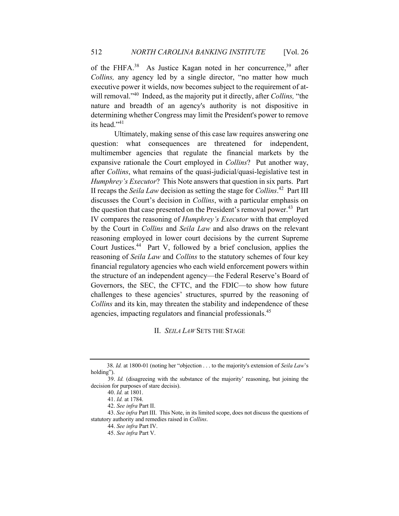of the FHFA.<sup>38</sup> As Justice Kagan noted in her concurrence,<sup>39</sup> after *Collins,* any agency led by a single director, "no matter how much executive power it wields, now becomes subject to the requirement of atwill removal."40 Indeed, as the majority put it directly, after *Collins,* "the nature and breadth of an agency's authority is not dispositive in determining whether Congress may limit the President's power to remove its head."<sup>41</sup>

Ultimately, making sense of this case law requires answering one question: what consequences are threatened for independent, multimember agencies that regulate the financial markets by the expansive rationale the Court employed in *Collins*? Put another way, after *Collins*, what remains of the quasi-judicial/quasi-legislative test in *Humphrey's Executor*? This Note answers that question in six parts. Part II recaps the *Seila Law* decision as setting the stage for *Collins*. 42 Part III discusses the Court's decision in *Collins*, with a particular emphasis on the question that case presented on the President's removal power.<sup>43</sup> Part IV compares the reasoning of *Humphrey's Executor* with that employed by the Court in *Collins* and *Seila Law* and also draws on the relevant reasoning employed in lower court decisions by the current Supreme Court Justices.44 Part V, followed by a brief conclusion, applies the reasoning of *Seila Law* and *Collins* to the statutory schemes of four key financial regulatory agencies who each wield enforcement powers within the structure of an independent agency—the Federal Reserve's Board of Governors, the SEC, the CFTC, and the FDIC—to show how future challenges to these agencies' structures, spurred by the reasoning of *Collins* and its kin, may threaten the stability and independence of these agencies, impacting regulators and financial professionals.<sup>45</sup>

## II. *SEILA LAW* SETS THE STAGE

 <sup>38.</sup> *Id.* at 1800-01 (noting her "objection . . . to the majority's extension of *Seila Law*'s holding").

<sup>39.</sup> *Id.* (disagreeing with the substance of the majority' reasoning, but joining the decision for purposes of stare decisis).

<sup>40.</sup> *Id.* at 1801.

<sup>41.</sup> *Id.* at 1784.

<sup>42.</sup> *See infra* Part II.

<sup>43.</sup> *See infra* Part III. This Note, in its limited scope, does not discuss the questions of statutory authority and remedies raised in *Collins*.

<sup>44.</sup> *See infra* Part IV.

<sup>45.</sup> *See infra* Part V.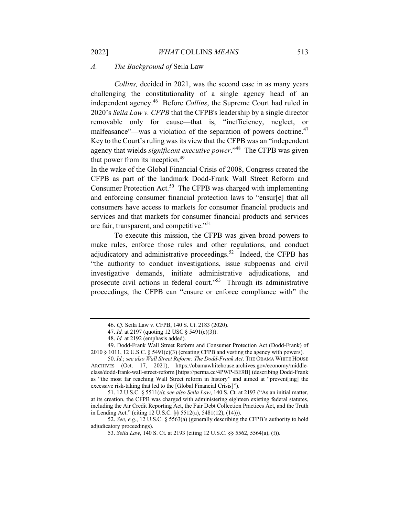#### *A. The Background of* Seila Law

*Collins,* decided in 2021, was the second case in as many years challenging the constitutionality of a single agency head of an independent agency.46 Before *Collins*, the Supreme Court had ruled in 2020's *Seila Law v. CFPB* that the CFPB's leadership by a single director removable only for cause—that is, "inefficiency, neglect, or malfeasance"—was a violation of the separation of powers doctrine.<sup>47</sup> Key to the Court's ruling was its view that the CFPB was an "independent agency that wields *significant executive power*."<sup>48</sup> The CFPB was given that power from its inception.<sup>49</sup>

In the wake of the Global Financial Crisis of 2008, Congress created the CFPB as part of the landmark Dodd-Frank Wall Street Reform and Consumer Protection Act.<sup>50</sup> The CFPB was charged with implementing and enforcing consumer financial protection laws to "ensur[e] that all consumers have access to markets for consumer financial products and services and that markets for consumer financial products and services are fair, transparent, and competitive."51

To execute this mission, the CFPB was given broad powers to make rules, enforce those rules and other regulations, and conduct adjudicatory and administrative proceedings.<sup>52</sup> Indeed, the CFPB has "the authority to conduct investigations, issue subpoenas and civil investigative demands, initiate administrative adjudications, and prosecute civil actions in federal court."53 Through its administrative proceedings, the CFPB can "ensure or enforce compliance with" the

51. 12 U.S.C. § 5511(a); *see also Seila Law*, 140 S. Ct. at 2193 ("As an initial matter, at its creation, the CFPB was charged with administering eighteen existing federal statutes, including the Air Credit Reporting Act, the Fair Debt Collection Practices Act, and the Truth in Lending Act." (citing 12 U.S.C. §§ 5512(a), 5481(12), (14))).

52. *See, e.g.*, 12 U.S.C. § 5563(a) (generally describing the CFPB's authority to hold adjudicatory proceedings).

<sup>46.</sup> *Cf.* Seila Law v. CFPB, 140 S. Ct. 2183 (2020).

<sup>47.</sup> *Id.* at 2197 (quoting 12 USC § 5491(c)(3)).

<sup>48.</sup> *Id.* at 2192 (emphasis added).

<sup>49.</sup> Dodd-Frank Wall Street Reform and Consumer Protection Act (Dodd-Frank) of 2010 § 1011, 12 U.S.C. § 5491(c)(3) (creating CFPB and vesting the agency with powers).

<sup>50.</sup> *Id.*; *see also Wall Street Reform: The Dodd-Frank Act,* THE OBAMA WHITE HOUSE ARCHIVES (Oct. 17, 2021), https://obamawhitehouse.archives.gov/economy/middleclass/dodd-frank-wall-street-reform [https://perma.cc/4PWP-BE9B] (describing Dodd-Frank as "the most far reaching Wall Street reform in history" and aimed at "prevent[ing] the excessive risk-taking that led to the [Global Financial Crisis]").

<sup>53.</sup> *Seila Law*, 140 S. Ct. at 2193 (citing 12 U.S.C. §§ 5562, 5564(a), (f)).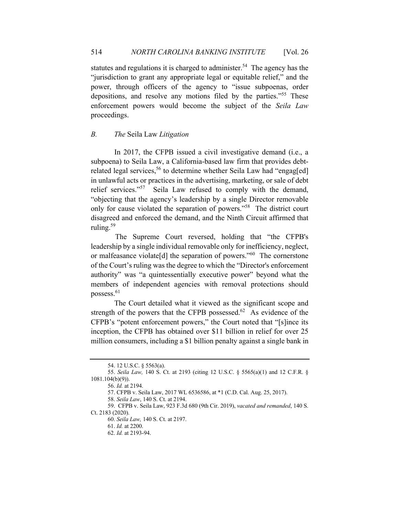statutes and regulations it is charged to administer.<sup>54</sup> The agency has the "jurisdiction to grant any appropriate legal or equitable relief," and the power, through officers of the agency to "issue subpoenas, order depositions, and resolve any motions filed by the parties."<sup>55</sup> These enforcement powers would become the subject of the *Seila Law*  proceedings.

#### *B. The* Seila Law *Litigation*

In 2017, the CFPB issued a civil investigative demand (i.e., a subpoena) to Seila Law, a California-based law firm that provides debtrelated legal services,<sup>56</sup> to determine whether Seila Law had "engag[ed] in unlawful acts or practices in the advertising, marketing, or sale of debt relief services."<sup>57</sup> Seila Law refused to comply with the demand, "objecting that the agency's leadership by a single Director removable only for cause violated the separation of powers."58 The district court disagreed and enforced the demand, and the Ninth Circuit affirmed that ruling.<sup>59</sup>

 The Supreme Court reversed, holding that "the CFPB's leadership by a single individual removable only for inefficiency, neglect, or malfeasance violate[d] the separation of powers."<sup>60</sup> The cornerstone of the Court's ruling was the degree to which the "Director's enforcement authority" was "a quintessentially executive power" beyond what the members of independent agencies with removal protections should possess.61

The Court detailed what it viewed as the significant scope and strength of the powers that the CFPB possessed.<sup>62</sup> As evidence of the CFPB's "potent enforcement powers," the Court noted that "[s]ince its inception, the CFPB has obtained over \$11 billion in relief for over 25 million consumers, including a \$1 billion penalty against a single bank in

<sup>54. 12</sup> U.S.C. § 5563(a).

<sup>55.</sup> *Seila Law,* 140 S. Ct. at 2193 (citing 12 U.S.C. § 5565(a)(1) and 12 C.F.R. § 1081.104(b)(9)).

<sup>56.</sup> *Id.* at 2194.

<sup>57.</sup> CFPB v. Seila Law, 2017 WL 6536586, at \*1 (C.D. Cal. Aug. 25, 2017).

<sup>58.</sup> *Seila Law*, 140 S. Ct. at 2194.

<sup>59.</sup> CFPB v. Seila Law, 923 F.3d 680 (9th Cir. 2019), *vacated and remanded*, 140 S. Ct. 2183 (2020).

<sup>60.</sup> *Seila Law,* 140 S. Ct. at 2197.

<sup>61.</sup> *Id.* at 2200.

<sup>62.</sup> *Id.* at 2193-94.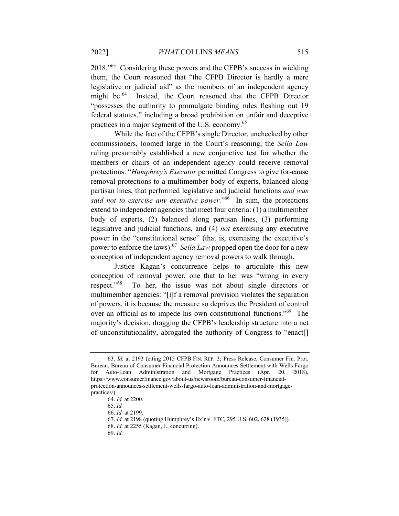2018."63 Considering these powers and the CFPB's success in wielding them, the Court reasoned that "the CFPB Director is hardly a mere legislative or judicial aid" as the members of an independent agency might be.<sup>64</sup> Instead, the Court reasoned that the CFPB Director "possesses the authority to promulgate binding rules fleshing out 19 federal statutes," including a broad prohibition on unfair and deceptive practices in a major segment of the U.S. economy.<sup>65</sup>

While the fact of the CFPB's single Director, unchecked by other commissioners, loomed large in the Court's reasoning, the *Seila Law*  ruling presumably established a new conjunctive test for whether the members or chairs of an independent agency could receive removal protections: "*Humphrey's Executor* permitted Congress to give for-cause removal protections to a multimember body of experts, balanced along partisan lines, that performed legislative and judicial functions *and was said not to exercise any executive power.*"<sup>66</sup> In sum, the protections extend to independent agencies that meet four criteria: (1) a multimember body of experts, (2) balanced along partisan lines, (3) performing legislative and judicial functions, and (4) *not* exercising any executive power in the "constitutional sense" (that is, exercising the executive's power to enforce the laws).67 *Seila Law* propped open the door for a new conception of independent agency removal powers to walk through.

Justice Kagan's concurrence helps to articulate this new conception of removal power, one that to her was "wrong in every respect."68 To her, the issue was not about single directors or multimember agencies: "[i]f a removal provision violates the separation of powers, it is because the measure so deprives the President of control over an official as to impede his own constitutional functions."<sup>69</sup> The majority's decision, dragging the CFPB's leadership structure into a net of unconstitutionality, abrogated the authority of Congress to "enact[]

69. *Id.* 

<sup>63.</sup> *Id.* at 2193 (citing 2015 CFPB FIN. REP. 3; Press Release, Consumer Fin. Prot. Bureau, Bureau of Consumer Financial Protection Announces Settlement with Wells Fargo for Auto-Loan Administration and Mortgage Practices (Apr. 20, 2018), https://www.consumerfinance.gov/about-us/newsroom/bureau-consumer-financialprotection-announces-settlement-wells-fargo-auto-loan-administration-and-mortgagepractices/).

<sup>64.</sup> *Id.* at 2200.

<sup>65.</sup> *Id.* 

<sup>66.</sup> *Id.* at 2199.

<sup>67.</sup> *Id.* at 2198 (quoting Humphrey's Ex'r v. FTC*,* 295 U.S. 602, 628 (1935)).

<sup>68.</sup> *Id.* at 2255 (Kagan, J., concurring).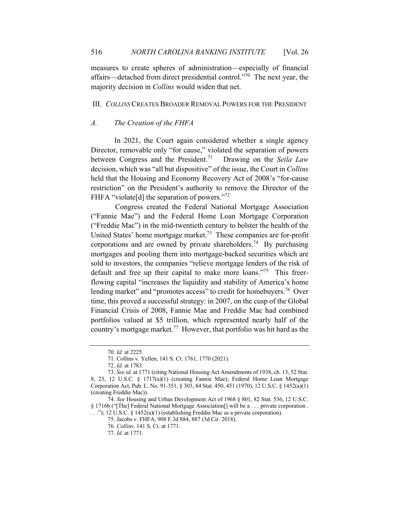measures to create spheres of administration—especially of financial affairs—detached from direct presidential control."70 The next year, the majority decision in *Collins* would widen that net.

## III. *COLLINS* CREATES BROADER REMOVAL POWERS FOR THE PRESIDENT

## *A. The Creation of the FHFA*

In 2021, the Court again considered whether a single agency Director, removable only "for cause," violated the separation of powers between Congress and the President.71 Drawing on the *Seila Law*  decision, which was "all but dispositive" of the issue, the Court in *Collins* held that the Housing and Economy Recovery Act of 2008's "for-cause restriction" on the President's authority to remove the Director of the FHFA "violate<sup>[d]</sup> the separation of powers."<sup>72</sup>

 Congress created the Federal National Mortgage Association ("Fannie Mae") and the Federal Home Loan Mortgage Corporation ("Freddie Mac") in the mid-twentieth century to bolster the health of the United States' home mortgage market.<sup>73</sup> These companies are for-profit corporations and are owned by private shareholders.<sup>74</sup> By purchasing mortgages and pooling them into mortgage-backed securities which are sold to investors, the companies "relieve mortgage lenders of the risk of default and free up their capital to make more loans."75 This freerflowing capital "increases the liquidity and stability of America's home lending market" and "promotes access" to credit for homebuyers.<sup>76</sup> Over time, this proved a successful strategy: in 2007, on the cusp of the Global Financial Crisis of 2008, Fannie Mae and Freddie Mac had combined portfolios valued at \$5 trillion, which represented nearly half of the country's mortgage market.77 However, that portfolio was hit hard as the

<sup>70.</sup> *Id.* at 2225.

<sup>71.</sup> Collins v. Yellen, 141 S. Ct. 1761, 1770 (2021).

<sup>72.</sup> *Id.* at 1783.

<sup>73.</sup> *See id.* at 1771 (citing National Housing Act Amendments of 1938, ch. 13, 52 Stat. 8, 23, 12 U.S.C. § 1717(a)(1) (creating Fannie Mae); Federal Home Loan Mortgage Corporation Act, Pub. L. No. 91-351, § 303, 84 Stat. 450, 451 (1970), 12 U.S.C. § 1452(a)(1) (creating Freddie Mac)).

<sup>74.</sup> *See* Housing and Urban Development Act of 1968 § 801, 82 Stat. 536, 12 U.S.C. § 1716b ("[The] Federal National Mortgage Association[] will be a . . . private corporation . . . ."); 12 U.S.C. § 1452(a)(1) (establishing Freddie Mac as a private corporation).

<sup>75.</sup> Jacobs v. FHFA, 908 F.3d 884, 887 (3d Cir. 2018).

<sup>76.</sup> *Collins,* 141 S. Ct. at 1771.

<sup>77.</sup> *Id.* at 1771.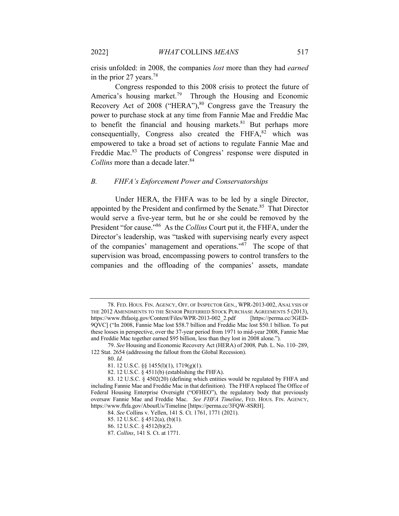crisis unfolded: in 2008, the companies *lost* more than they had *earned* in the prior 27 years.<sup>78</sup>

 Congress responded to this 2008 crisis to protect the future of America's housing market.<sup>79</sup> Through the Housing and Economic Recovery Act of 2008 ("HERA"),<sup>80</sup> Congress gave the Treasury the power to purchase stock at any time from Fannie Mae and Freddie Mac to benefit the financial and housing markets. $81$  But perhaps more consequentially, Congress also created the  $F HFA$ ,  $82$  which was empowered to take a broad set of actions to regulate Fannie Mae and Freddie Mac.<sup>83</sup> The products of Congress' response were disputed in *Collins* more than a decade later.<sup>84</sup>

#### *B. FHFA's Enforcement Power and Conservatorships*

 Under HERA, the FHFA was to be led by a single Director, appointed by the President and confirmed by the Senate.<sup>85</sup> That Director would serve a five-year term, but he or she could be removed by the President "for cause."86 As the *Collins* Court put it, the FHFA, under the Director's leadership, was "tasked with supervising nearly every aspect of the companies' management and operations."87 The scope of that supervision was broad, encompassing powers to control transfers to the companies and the offloading of the companies' assets, mandate

<sup>78.</sup> FED. HOUS. FIN. AGENCY, OFF. OF INSPECTOR GEN., WPR-2013-002, ANALYSIS OF THE 2012 AMENDMENTS TO THE SENIOR PREFERRED STOCK PURCHASE AGREEMENTS 5 (2013), https://www.fhfaoig.gov/Content/Files/WPR-2013-002\_2.pdf [https://perma.cc/3GED-9QVC] ("In 2008, Fannie Mae lost \$58.7 billion and Freddie Mac lost \$50.1 billion. To put these losses in perspective, over the 37-year period from 1971 to mid-year 2008, Fannie Mae and Freddie Mac together earned \$95 billion, less than they lost in 2008 alone.").

<sup>79.</sup> *See* Housing and Economic Recovery Act (HERA) of 2008*,* Pub. L. No. 110–289, 122 Stat. 2654 (addressing the fallout from the Global Recession).

<sup>80.</sup> *Id.*

<sup>81. 12</sup> U.S.C. §§ 1455(l)(1), 1719(g)(1).

<sup>82. 12</sup> U.S.C. § 4511(b) (establishing the FHFA).

<sup>83. 12</sup> U.S.C. § 4502(20) (defining which entities would be regulated by FHFA and including Fannie Mae and Freddie Mac in that definition). The FHFA replaced The Office of Federal Housing Enterprise Oversight ("OFHEO"), the regulatory body that previously oversaw Fannie Mae and Freddie Mac. *See FHFA Timeline*, FED. HOUS. FIN. AGENCY, https://www.fhfa.gov/AboutUs/Timeline [https://perma.cc/3FQW-8SRH].

<sup>84.</sup> *See* Collins v. Yellen, 141 S. Ct. 1761, 1771 (2021).

<sup>85. 12</sup> U.S.C. § 4512(a), (b)(1).

<sup>86. 12</sup> U.S.C. § 4512(b)(2).

<sup>87.</sup> *Collins*, 141 S. Ct. at 1771.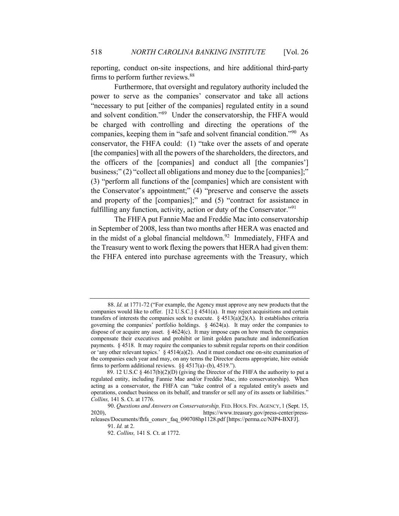reporting, conduct on-site inspections, and hire additional third-party firms to perform further reviews.<sup>88</sup>

Furthermore, that oversight and regulatory authority included the power to serve as the companies' conservator and take all actions "necessary to put [either of the companies] regulated entity in a sound and solvent condition."89 Under the conservatorship, the FHFA would be charged with controlling and directing the operations of the companies, keeping them in "safe and solvent financial condition."<sup>90</sup> As conservator, the FHFA could: (1) "take over the assets of and operate [the companies] with all the powers of the shareholders, the directors, and the officers of the [companies] and conduct all [the companies'] business;" (2) "collect all obligations and money due to the [companies];" (3) "perform all functions of the [companies] which are consistent with the Conservator's appointment;" (4) "preserve and conserve the assets and property of the [companies];" and (5) "contract for assistance in fulfilling any function, activity, action or duty of the Conservator."91

The FHFA put Fannie Mae and Freddie Mac into conservatorship in September of 2008, less than two months after HERA was enacted and in the midst of a global financial meltdown. $92$  Immediately, FHFA and the Treasury went to work flexing the powers that HERA had given them: the FHFA entered into purchase agreements with the Treasury, which

<sup>88.</sup> *Id.* at 1771-72 ("For example, the Agency must approve any new products that the companies would like to offer. [12 U.S.C.] § 4541(a). It may reject acquisitions and certain transfers of interests the companies seek to execute.  $\S$  4513(a)(2)(A). It establishes criteria governing the companies' portfolio holdings.  $\S$  4624(a). It may order the companies to dispose of or acquire any asset.  $\S 4624(c)$ . It may impose caps on how much the companies compensate their executives and prohibit or limit golden parachute and indemnification payments. § 4518. It may require the companies to submit regular reports on their condition or 'any other relevant topics.'  $\S 4514(a)(2)$ . And it must conduct one on-site examination of the companies each year and may, on any terms the Director deems appropriate, hire outside firms to perform additional reviews. §§ 4517(a)–(b), 4519.").

 <sup>89. 12</sup> U.S.C § 4617(b)(2)(D) (giving the Director of the FHFA the authority to put a regulated entity, including Fannie Mae and/or Freddie Mac, into conservatorship). When acting as a conservator, the FHFA can "take control of a regulated entity's assets and operations, conduct business on its behalf, and transfer or sell any of its assets or liabilities." *Collins,* 141 S. Ct. at 1776.

<sup>90.</sup> *Questions and Answers on Conservatorship,* FED. HOUS. FIN. AGENCY, 1 (Sept. 15, 2020), https://www.treasury.gov/press-center/press-

releases/Documents/fhfa\_consrv\_faq\_090708hp1128.pdf [https://perma.cc/NJP4-BXFJ]. 91. *Id.* at 2.

<sup>92.</sup> *Collins,* 141 S. Ct. at 1772.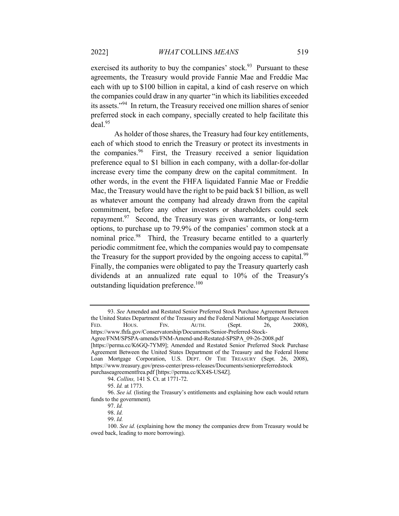exercised its authority to buy the companies' stock.<sup>93</sup> Pursuant to these agreements, the Treasury would provide Fannie Mae and Freddie Mac each with up to \$100 billion in capital, a kind of cash reserve on which the companies could draw in any quarter "in which its liabilities exceeded its assets."<sup>94</sup> In return, the Treasury received one million shares of senior preferred stock in each company, specially created to help facilitate this  $deal.<sup>95</sup>$ 

As holder of those shares, the Treasury had four key entitlements, each of which stood to enrich the Treasury or protect its investments in the companies.96 First, the Treasury received a senior liquidation preference equal to \$1 billion in each company, with a dollar-for-dollar increase every time the company drew on the capital commitment. In other words, in the event the FHFA liquidated Fannie Mae or Freddie Mac, the Treasury would have the right to be paid back \$1 billion, as well as whatever amount the company had already drawn from the capital commitment, before any other investors or shareholders could seek repayment.<sup>97</sup> Second, the Treasury was given warrants, or long-term options, to purchase up to 79.9% of the companies' common stock at a nominal price.<sup>98</sup> Third, the Treasury became entitled to a quarterly periodic commitment fee, which the companies would pay to compensate the Treasury for the support provided by the ongoing access to capital.<sup>99</sup> Finally, the companies were obligated to pay the Treasury quarterly cash dividends at an annualized rate equal to 10% of the Treasury's outstanding liquidation preference.<sup>100</sup>

<sup>93.</sup> *See* Amended and Restated Senior Preferred Stock Purchase Agreement Between the United States Department of the Treasury and the Federal National Mortgage Association FED. HOUS. FIN. AUTH. (Sept. 26, 2008), https://www.fhfa.gov/Conservatorship/Documents/Senior-Preferred-Stock-Agree/FNM/SPSPA-amends/FNM-Amend-and-Restated-SPSPA\_09-26-2008.pdf [https://perma.cc/K6GQ-7YM9]; Amended and Restated Senior Preferred Stock Purchase Agreement Between the United States Department of the Treasury and the Federal Home Loan Mortgage Corporation, U.S. DEPT. OF THE TREASURY (Sept. 26, 2008), https://www.treasury.gov/press-center/press-releases/Documents/seniorpreferredstock purchaseagreementfrea.pdf [https://perma.cc/KX4S-US4Z].

<sup>94.</sup> *Collins,* 141 S. Ct. at 1771-72.

<sup>95.</sup> *Id.* at 1773.

<sup>96.</sup> *See id.* (listing the Treasury's entitlements and explaining how each would return funds to the government)*.* 

<sup>97.</sup> *Id.*

<sup>98.</sup> *Id.*

<sup>99.</sup> *Id.*

<sup>100.</sup> *See id.* (explaining how the money the companies drew from Treasury would be owed back, leading to more borrowing).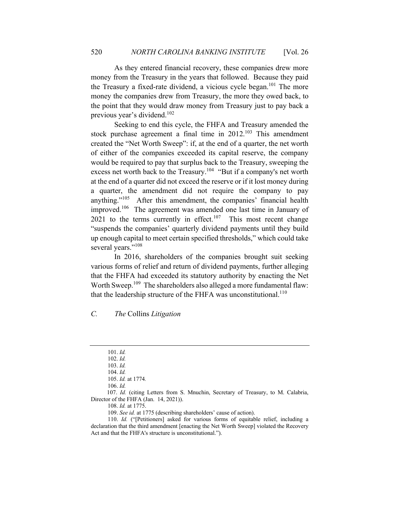As they entered financial recovery, these companies drew more money from the Treasury in the years that followed. Because they paid the Treasury a fixed-rate dividend, a vicious cycle began.<sup>101</sup> The more money the companies drew from Treasury, the more they owed back, to the point that they would draw money from Treasury just to pay back a previous year's dividend.<sup>102</sup>

Seeking to end this cycle, the FHFA and Treasury amended the stock purchase agreement a final time in  $2012$ .<sup>103</sup> This amendment created the "Net Worth Sweep": if, at the end of a quarter, the net worth of either of the companies exceeded its capital reserve, the company would be required to pay that surplus back to the Treasury, sweeping the excess net worth back to the Treasury.<sup>104</sup> "But if a company's net worth at the end of a quarter did not exceed the reserve or if it lost money during a quarter, the amendment did not require the company to pay anything."<sup>105</sup> After this amendment, the companies' financial health improved.<sup>106</sup> The agreement was amended one last time in January of  $2021$  to the terms currently in effect.<sup>107</sup> This most recent change "suspends the companies' quarterly dividend payments until they build up enough capital to meet certain specified thresholds," which could take several years."<sup>108</sup>

In 2016, shareholders of the companies brought suit seeking various forms of relief and return of dividend payments, further alleging that the FHFA had exceeded its statutory authority by enacting the Net Worth Sweep.<sup>109</sup> The shareholders also alleged a more fundamental flaw: that the leadership structure of the FHFA was unconstitutional.<sup>110</sup>

## *C. The* Collins *Litigation*

 107. *Id.* (citing Letters from S. Mnuchin, Secretary of Treasury, to M. Calabria, Director of the FHFA (Jan. 14, 2021)).

<sup>101.</sup> *Id.*

<sup>102.</sup> *Id.*

<sup>103.</sup> *Id.*

<sup>104.</sup> *Id.*

<sup>105.</sup> *Id.* at 1774*.*

<sup>106.</sup> *Id.*

<sup>108.</sup> *Id.* at 1775.

<sup>109.</sup> *See id.* at 1775 (describing shareholders' cause of action).

<sup>110.</sup> *Id.* ("[Petitioners] asked for various forms of equitable relief, including a declaration that the third amendment [enacting the Net Worth Sweep] violated the Recovery Act and that the FHFA's structure is unconstitutional.").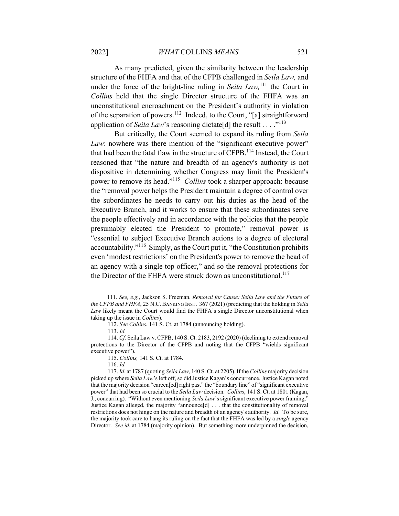As many predicted, given the similarity between the leadership structure of the FHFA and that of the CFPB challenged in *Seila Law,* and under the force of the bright-line ruling in *Seila Law*,<sup>111</sup> the Court in *Collins* held that the single Director structure of the FHFA was an unconstitutional encroachment on the President's authority in violation of the separation of powers.<sup>112</sup> Indeed, to the Court, "[a] straightforward application of *Seila Law*'s reasoning dictate<sup>[d]</sup> the result . . . . .<sup>"113</sup>

But critically, the Court seemed to expand its ruling from *Seila Law*: nowhere was there mention of the "significant executive power" that had been the fatal flaw in the structure of CFPB.<sup>114</sup> Instead, the Court reasoned that "the nature and breadth of an agency's authority is not dispositive in determining whether Congress may limit the President's power to remove its head."115 *Collins* took a sharper approach: because the "removal power helps the President maintain a degree of control over the subordinates he needs to carry out his duties as the head of the Executive Branch, and it works to ensure that these subordinates serve the people effectively and in accordance with the policies that the people presumably elected the President to promote," removal power is "essential to subject Executive Branch actions to a degree of electoral accountability."116 Simply, as the Court put it, "the Constitution prohibits even 'modest restrictions' on the President's power to remove the head of an agency with a single top officer," and so the removal protections for the Director of the FHFA were struck down as unconstitutional.<sup>117</sup>

 <sup>111.</sup> *See, e.g.*, Jackson S. Freeman, *Removal for Cause: Seila Law and the Future of the CFPB and FHFA*, 25 N.C.BANKING INST. 367 (2021) (predicting that the holding in *Seila Law* likely meant the Court would find the FHFA's single Director unconstitutional when taking up the issue in *Collins*).

<sup>112.</sup> *See Collins*, 141 S. Ct. at 1784 (announcing holding).

<sup>113.</sup> *Id.*

<sup>114.</sup> *Cf.* Seila Law v. CFPB, 140 S. Ct. 2183, 2192 (2020) (declining to extend removal protections to the Director of the CFPB and noting that the CFPB "wields significant executive power").

<sup>115.</sup> *Collins,* 141 S. Ct. at 1784.

<sup>116.</sup> *Id.* 

<sup>117.</sup> *Id.* at 1787 (quoting *Seila Law*, 140 S. Ct. at 2205). If the *Collins* majority decision picked up where *Seila Law*'s left off, so did Justice Kagan's concurrence. Justice Kagan noted that the majority decision "careen[ed] right past" the "boundary line" of "significant executive power" that had been so crucial to the *Seila Law* decision. *Collins*, 141 S. Ct. at 1801 (Kagan, J., concurring). "Without even mentioning *Seila Law*'s significant executive power framing," Justice Kagan alleged, the majority "announce[d] . . . that the constitutionality of removal restrictions does not hinge on the nature and breadth of an agency's authority. *Id*. To be sure, the majority took care to hang its ruling on the fact that the FHFA was led by a *single* agency Director. *See id.* at 1784 (majority opinion). But something more underpinned the decision,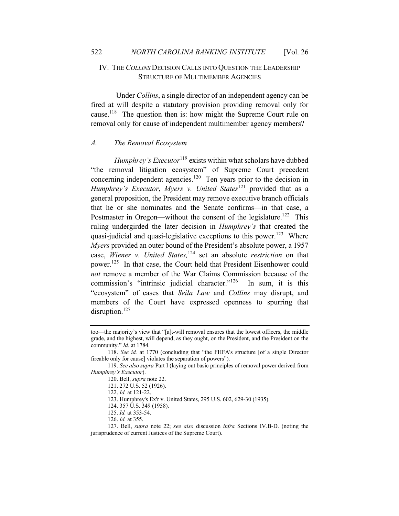## IV. THE *COLLINS* DECISION CALLS INTO QUESTION THE LEADERSHIP STRUCTURE OF MULTIMEMBER AGENCIES

Under *Collins*, a single director of an independent agency can be fired at will despite a statutory provision providing removal only for cause.118 The question then is: how might the Supreme Court rule on removal only for cause of independent multimember agency members?

#### *A. The Removal Ecosystem*

*Humphrey's Executor*<sup>119</sup> exists within what scholars have dubbed "the removal litigation ecosystem" of Supreme Court precedent concerning independent agencies.<sup>120</sup> Ten years prior to the decision in *Humphrey's Executor, Myers v. United States*<sup>121</sup> provided that as a general proposition, the President may remove executive branch officials that he or she nominates and the Senate confirms—in that case, a Postmaster in Oregon—without the consent of the legislature.<sup>122</sup> This ruling undergirded the later decision in *Humphrey's* that created the quasi-judicial and quasi-legislative exceptions to this power.<sup>123</sup> Where *Myers* provided an outer bound of the President's absolute power, a 1957 case, *Wiener v. United States,*<sup>124</sup> set an absolute *restriction* on that power.<sup>125</sup> In that case, the Court held that President Eisenhower could *not* remove a member of the War Claims Commission because of the commission's "intrinsic judicial character."<sup>126</sup> In sum, it is this "ecosystem" of cases that *Seila Law* and *Collins* may disrupt, and members of the Court have expressed openness to spurring that disruption.<sup>127</sup>

too—the majority's view that "[a]t-will removal ensures that the lowest officers, the middle grade, and the highest, will depend, as they ought, on the President, and the President on the community." *Id*. at 1784.

<sup>118.</sup> *See id.* at 1770 (concluding that "the FHFA's structure [of a single Director fireable only for cause] violates the separation of powers").

<sup>119.</sup> *See also supra* Part I (laying out basic principles of removal power derived from *Humphrey's Executor*).

<sup>120.</sup> Bell, *supra* note 22.

<sup>121. 272</sup> U.S. 52 (1926).

<sup>122.</sup> *Id.* at 121-22.

<sup>123.</sup> Humphrey's Ex'r v. United States, 295 U.S. 602, 629-30 (1935).

<sup>124. 357</sup> U.S. 349 (1958).

<sup>125.</sup> *Id.* at 353-54.

<sup>126.</sup> *Id.* at 355.

<sup>127.</sup> Bell, *supra* note 22; *see also* discussion *infra* Sections IV.B-D. (noting the jurisprudence of current Justices of the Supreme Court).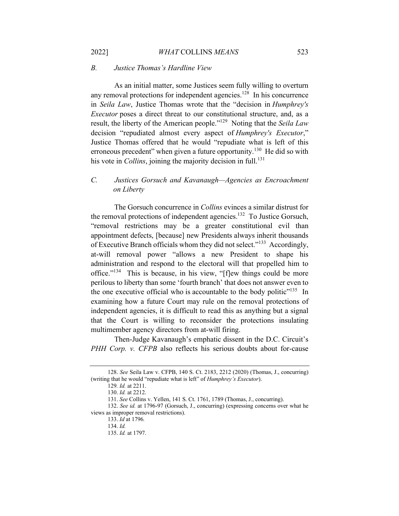#### *B. Justice Thomas's Hardline View*

As an initial matter, some Justices seem fully willing to overturn any removal protections for independent agencies.<sup>128</sup> In his concurrence in *Seila Law*, Justice Thomas wrote that the "decision in *Humphrey's Executor* poses a direct threat to our constitutional structure, and, as a result, the liberty of the American people."129 Noting that the *Seila Law* decision "repudiated almost every aspect of *Humphrey's Executor*," Justice Thomas offered that he would "repudiate what is left of this erroneous precedent" when given a future opportunity.<sup>130</sup> He did so with his vote in *Collins*, joining the majority decision in full.<sup>131</sup>

## *C. Justices Gorsuch and Kavanaugh—Agencies as Encroachment on Liberty*

The Gorsuch concurrence in *Collins* evinces a similar distrust for the removal protections of independent agencies.<sup>132</sup> To Justice Gorsuch, "removal restrictions may be a greater constitutional evil than appointment defects, [because] new Presidents always inherit thousands of Executive Branch officials whom they did not select."<sup>133</sup> Accordingly, at-will removal power "allows a new President to shape his administration and respond to the electoral will that propelled him to office."<sup>134</sup> This is because, in his view, "[f]ew things could be more perilous to liberty than some 'fourth branch' that does not answer even to the one executive official who is accountable to the body politic $"^{135}$  In examining how a future Court may rule on the removal protections of independent agencies, it is difficult to read this as anything but a signal that the Court is willing to reconsider the protections insulating multimember agency directors from at-will firing.

Then-Judge Kavanaugh's emphatic dissent in the D.C. Circuit's *PHH Corp. v. CFPB* also reflects his serious doubts about for-cause

<sup>128.</sup> *See* Seila Law v. CFPB, 140 S. Ct. 2183, 2212 (2020) (Thomas, J., concurring) (writing that he would "repudiate what is left" of *Humphrey's Executor*).

<sup>129</sup>*. Id.* at 2211.

<sup>130.</sup> *Id.* at 2212.

<sup>131.</sup> *See* Collins v. Yellen, 141 S. Ct. 1761, 1789 (Thomas, J., concurring).

<sup>132.</sup> *See id.* at 1796-97 (Gorsuch, J., concurring) (expressing concerns over what he views as improper removal restrictions).

<sup>133.</sup> *Id* at 1796*.* 

<sup>134.</sup> *Id.* 

<sup>135.</sup> *Id.* at 1797.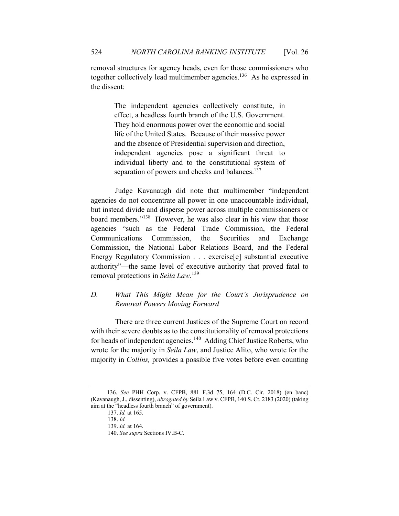removal structures for agency heads, even for those commissioners who together collectively lead multimember agencies.<sup>136</sup> As he expressed in the dissent:

> The independent agencies collectively constitute, in effect, a headless fourth branch of the U.S. Government. They hold enormous power over the economic and social life of the United States. Because of their massive power and the absence of Presidential supervision and direction, independent agencies pose a significant threat to individual liberty and to the constitutional system of separation of powers and checks and balances.<sup>137</sup>

 Judge Kavanaugh did note that multimember "independent agencies do not concentrate all power in one unaccountable individual, but instead divide and disperse power across multiple commissioners or board members."<sup>138</sup> However, he was also clear in his view that those agencies "such as the Federal Trade Commission, the Federal Communications Commission, the Securities and Exchange Commission, the National Labor Relations Board, and the Federal Energy Regulatory Commission . . . exercise[e] substantial executive authority"—the same level of executive authority that proved fatal to removal protections in *Seila Law.*<sup>139</sup>

## *D. What This Might Mean for the Court's Jurisprudence on Removal Powers Moving Forward*

 There are three current Justices of the Supreme Court on record with their severe doubts as to the constitutionality of removal protections for heads of independent agencies.<sup>140</sup> Adding Chief Justice Roberts, who wrote for the majority in *Seila Law*, and Justice Alito, who wrote for the majority in *Collins,* provides a possible five votes before even counting

 <sup>136.</sup> *See* PHH Corp. v. CFPB, 881 F.3d 75, 164 (D.C. Cir. 2018) (en banc) (Kavanaugh, J., dissenting), *abrogated by* Seila Law v. CFPB, 140 S. Ct. 2183 (2020) (taking aim at the "headless fourth branch" of government).

<sup>137.</sup> *Id.* at 165.

<sup>138.</sup> *Id.*

<sup>139.</sup> *Id.* at 164.

<sup>140.</sup> *See supra* Sections IV.B-C.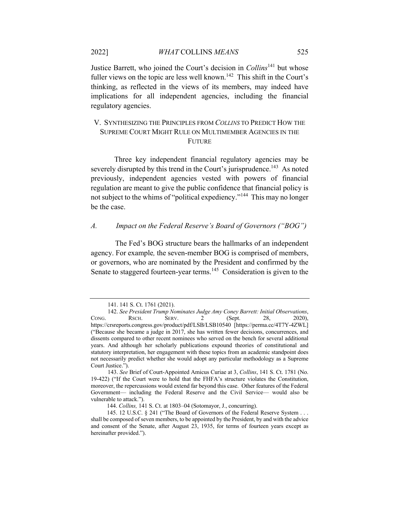Justice Barrett, who joined the Court's decision in *Collins*<sup>141</sup> but whose fuller views on the topic are less well known.<sup>142</sup> This shift in the Court's thinking, as reflected in the views of its members, may indeed have implications for all independent agencies, including the financial regulatory agencies.

## V. SYNTHESIZING THE PRINCIPLES FROM *COLLINS* TO PREDICT HOW THE SUPREME COURT MIGHT RULE ON MULTIMEMBER AGENCIES IN THE FUTURE

Three key independent financial regulatory agencies may be severely disrupted by this trend in the Court's jurisprudence.<sup>143</sup> As noted previously, independent agencies vested with powers of financial regulation are meant to give the public confidence that financial policy is not subject to the whims of "political expediency."<sup>144</sup> This may no longer be the case.

#### *A. Impact on the Federal Reserve's Board of Governors ("BOG")*

 The Fed's BOG structure bears the hallmarks of an independent agency. For example*,* the seven-member BOG is comprised of members, or governors, who are nominated by the President and confirmed by the Senate to staggered fourteen-year terms.<sup>145</sup> Consideration is given to the

<sup>141. 141</sup> S. Ct. 1761 (2021).

<sup>142.</sup> *See President Trump Nominates Judge Amy Coney Barrett: Initial Observations*, CONG. RSCH. SERV. 2 (Sept. 28, 2020), https://crsreports.congress.gov/product/pdf/LSB/LSB10540 [https://perma.cc/4T7Y-4ZWL] ("Because she became a judge in 2017, she has written fewer decisions, concurrences, and dissents compared to other recent nominees who served on the bench for several additional years. And although her scholarly publications expound theories of constitutional and statutory interpretation, her engagement with these topics from an academic standpoint does not necessarily predict whether she would adopt any particular methodology as a Supreme Court Justice.").

<sup>143.</sup> *See* Brief of Court-Appointed Amicus Curiae at 3, *Collins*, 141 S. Ct. 1781 (No. 19-422) ("If the Court were to hold that the FHFA's structure violates the Constitution, moreover, the repercussions would extend far beyond this case. Other features of the Federal Government— including the Federal Reserve and the Civil Service— would also be vulnerable to attack.").

 <sup>144.</sup> *Collins,* 141 S. Ct. at 1803–04 (Sotomayor, J., concurring).

 <sup>145. 12</sup> U.S.C. § 241 ("The Board of Governors of the Federal Reserve System . . . shall be composed of seven members, to be appointed by the President, by and with the advice and consent of the Senate, after August 23, 1935, for terms of fourteen years except as hereinafter provided.").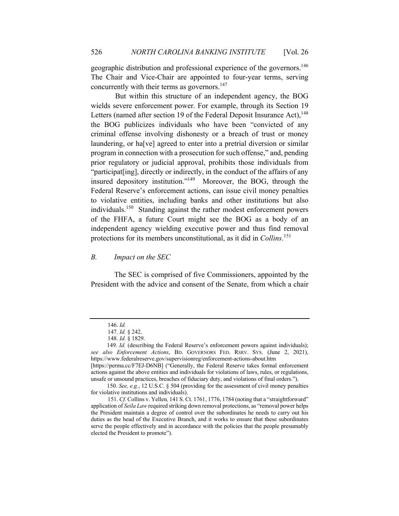geographic distribution and professional experience of the governors.<sup>146</sup> The Chair and Vice-Chair are appointed to four-year terms, serving concurrently with their terms as governors.<sup>147</sup>

 But within this structure of an independent agency, the BOG wields severe enforcement power. For example, through its Section 19 Letters (named after section 19 of the Federal Deposit Insurance Act),  $148$ the BOG publicizes individuals who have been "convicted of any criminal offense involving dishonesty or a breach of trust or money laundering, or ha[ve] agreed to enter into a pretrial diversion or similar program in connection with a prosecution for such offense," and, pending prior regulatory or judicial approval, prohibits those individuals from "participat[ing], directly or indirectly, in the conduct of the affairs of any insured depository institution."149 Moreover, the BOG, through the Federal Reserve's enforcement actions, can issue civil money penalties to violative entities, including banks and other institutions but also individuals.<sup>150</sup> Standing against the rather modest enforcement powers of the FHFA, a future Court might see the BOG as a body of an independent agency wielding executive power and thus find removal protections for its members unconstitutional, as it did in *Collins*. 151

#### *B. Impact on the SEC*

The SEC is comprised of five Commissioners, appointed by the President with the advice and consent of the Senate, from which a chair

<sup>146.</sup> *Id.* 

<sup>147.</sup> *Id.* § 242.

<sup>148.</sup> *Id.* § 1829.

<sup>149.</sup> *Id.* (describing the Federal Reserve's enforcement powers against individuals); *see also Enforcement Actions*, BD. GOVERNORS FED. RSRV. SYS. (June 2, 2021), https://www.federalreserve.gov/supervisionreg/enforcement-actions-about.htm [https://perma.cc/F7EJ-D6NB] ("Generally, the Federal Reserve takes formal enforcement

actions against the above entities and individuals for violations of laws, rules, or regulations, unsafe or unsound practices, breaches of fiduciary duty, and violations of final orders.").

 <sup>150.</sup> *See, e.g.*, 12 U.S.C. § 504 (providing for the assessment of civil money penalties for violative institutions and individuals).

<sup>151.</sup> *Cf.* Collins v. Yellen*,* 141 S. Ct. 1761, 1776, 1784 (noting that a "straightforward" application of *Seila Law* required striking down removal protections, as "removal power helps the President maintain a degree of control over the subordinates he needs to carry out his duties as the head of the Executive Branch, and it works to ensure that these subordinates serve the people effectively and in accordance with the policies that the people presumably elected the President to promote").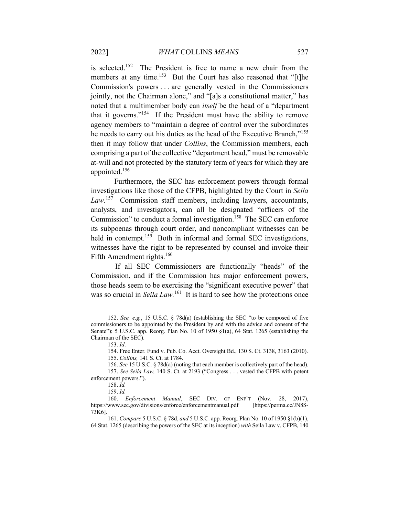is selected.152 The President is free to name a new chair from the members at any time.<sup>153</sup> But the Court has also reasoned that "[t]he Commission's powers . . . are generally vested in the Commissioners jointly, not the Chairman alone," and "[a]s a constitutional matter," has noted that a multimember body can *itself* be the head of a "department that it governs."154 If the President must have the ability to remove agency members to "maintain a degree of control over the subordinates he needs to carry out his duties as the head of the Executive Branch,"<sup>155</sup> then it may follow that under *Collins*, the Commission members, each comprising a part of the collective "department head," must be removable at-will and not protected by the statutory term of years for which they are appointed.<sup>156</sup>

Furthermore, the SEC has enforcement powers through formal investigations like those of the CFPB, highlighted by the Court in *Seila Law*. <sup>157</sup> Commission staff members, including lawyers, accountants, analysts, and investigators, can all be designated "officers of the Commission" to conduct a formal investigation.<sup>158</sup> The SEC can enforce its subpoenas through court order, and noncompliant witnesses can be held in contempt.<sup>159</sup> Both in informal and formal SEC investigations, witnesses have the right to be represented by counsel and invoke their Fifth Amendment rights.<sup>160</sup>

 If all SEC Commissioners are functionally "heads" of the Commission, and if the Commission has major enforcement powers, those heads seem to be exercising the "significant executive power" that was so crucial in *Seila Law*.<sup>161</sup> It is hard to see how the protections once

<sup>152.</sup> *See, e.g.*, 15 U.S.C. § 78d(a) (establishing the SEC "to be composed of five commissioners to be appointed by the President by and with the advice and consent of the Senate"); 5 U.S.C. app. Reorg. Plan No. 10 of 1950 §1(a), 64 Stat. 1265 (establishing the Chairman of the SEC).

<sup>153.</sup> *Id*.

<sup>154.</sup> Free Enter. Fund v. Pub. Co. Acct. Oversight Bd., 130 S. Ct. 3138, 3163 (2010). 155. *Collins,* 141 S. Ct. at 1784.

<sup>156.</sup> *See* 15 U.S.C. § 78d(a) (noting that each member is collectively part of the head). 157. *See Seila Law,* 140 S. Ct. at 2193 ("Congress . . . vested the CFPB with potent enforcement powers.").

<sup>158.</sup> *Id.*

<sup>159.</sup> *Id.*

<sup>160.</sup> *Enforcement Manual*, SEC DIV. OF ENF'T (Nov. 28, 2017), https://www.sec.gov/divisions/enforce/enforcementmanual.pdf [https://perma.cc/JN8S-73K6].

<sup>161.</sup> *Compare* 5 U.S.C. § 78d, *and* 5 U.S.C. app. Reorg. Plan No. 10 of 1950 §1(b)(1), 64 Stat. 1265 (describing the powers of the SEC at its inception) *with* Seila Law v. CFPB, 140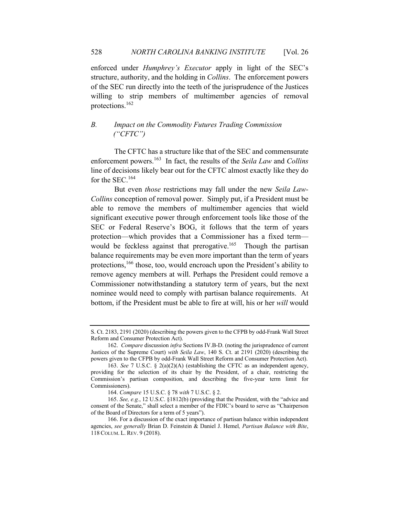enforced under *Humphrey's Executor* apply in light of the SEC's structure, authority, and the holding in *Collins*. The enforcement powers of the SEC run directly into the teeth of the jurisprudence of the Justices willing to strip members of multimember agencies of removal protections.<sup>162</sup>

## *B. Impact on the Commodity Futures Trading Commission ("CFTC")*

The CFTC has a structure like that of the SEC and commensurate enforcement powers.163 In fact, the results of the *Seila Law* and *Collins*  line of decisions likely bear out for the CFTC almost exactly like they do for the SEC.<sup>164</sup>

But even *those* restrictions may fall under the new *Seila Law-Collins* conception of removal power. Simply put, if a President must be able to remove the members of multimember agencies that wield significant executive power through enforcement tools like those of the SEC or Federal Reserve's BOG, it follows that the term of years protection—which provides that a Commissioner has a fixed term would be feckless against that prerogative.<sup>165</sup> Though the partisan balance requirements may be even more important than the term of years protections,<sup>166</sup> those, too, would encroach upon the President's ability to remove agency members at will. Perhaps the President could remove a Commissioner notwithstanding a statutory term of years, but the next nominee would need to comply with partisan balance requirements. At bottom, if the President must be able to fire at will, his or her *will* would

S. Ct. 2183, 2191 (2020) (describing the powers given to the CFPB by odd-Frank Wall Street Reform and Consumer Protection Act).

<sup>162.</sup> *Compare* discussion *infra* Sections IV.B-D. (noting the jurisprudence of current Justices of the Supreme Court) *with Seila Law*, 140 S. Ct. at 2191 (2020) (describing the powers given to the CFPB by odd-Frank Wall Street Reform and Consumer Protection Act).

<sup>163.</sup> *See* 7 U.S.C. § 2(a)(2)(A) (establishing the CFTC as an independent agency, providing for the selection of its chair by the President, of a chair, restricting the Commission's partisan composition, and describing the five-year term limit for Commissioners).

<sup>164.</sup> *Compare* 15 U.S.C. § 78 *with* 7 U.S.C. § 2.

<sup>165.</sup> *See, e.g.*, 12 U.S.C. §1812(b) (providing that the President, with the "advice and consent of the Senate," shall select a member of the FDIC's board to serve as "Chairperson of the Board of Directors for a term of 5 years").

<sup>166.</sup> For a discussion of the exact importance of partisan balance within independent agencies, *see generally* Brian D. Feinstein & Daniel J. Hemel*, Partisan Balance with Bite*, 118 COLUM. L. REV. 9 (2018).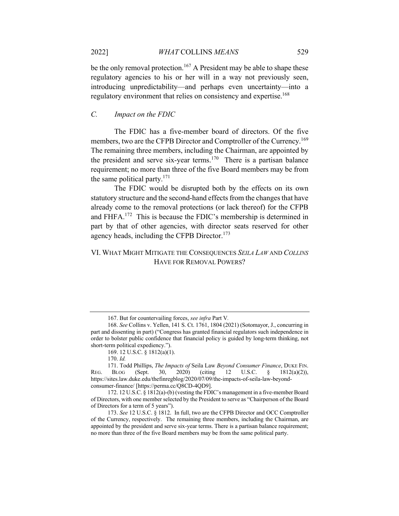be the only removal protection.<sup>167</sup> A President may be able to shape these regulatory agencies to his or her will in a way not previously seen, introducing unpredictability—and perhaps even uncertainty—into a regulatory environment that relies on consistency and expertise.<sup>168</sup>

## *C. Impact on the FDIC*

The FDIC has a five-member board of directors. Of the five members, two are the CFPB Director and Comptroller of the Currency.<sup>169</sup> The remaining three members, including the Chairman, are appointed by the president and serve six-year terms.<sup>170</sup> There is a partisan balance requirement; no more than three of the five Board members may be from the same political party. $171$ 

The FDIC would be disrupted both by the effects on its own statutory structure and the second-hand effects from the changes that have already come to the removal protections (or lack thereof) for the CFPB and FHFA.172 This is because the FDIC's membership is determined in part by that of other agencies, with director seats reserved for other agency heads, including the CFPB Director.<sup>173</sup>

## VI. WHAT MIGHT MITIGATE THE CONSEQUENCES *SEILA LAW* AND *COLLINS*  HAVE FOR REMOVAL POWERS?

<sup>167.</sup> But for countervailing forces, *see infra* Part V*.*

<sup>168.</sup> *See* Collins v. Yellen, 141 S. Ct. 1761, 1804 (2021) (Sotomayor, J., concurring in part and dissenting in part) ("Congress has granted financial regulators such independence in order to bolster public confidence that financial policy is guided by long-term thinking, not short-term political expediency.").

<sup>169. 12</sup> U.S.C. § 1812(a)(1).

<sup>170.</sup> *Id.*

<sup>171.</sup> Todd Phillips, *The Impacts of* Seila Law *Beyond Consumer Finance*, DUKE FIN.<br>BLOG (Sept. 30, 2020) (citing 12 U.S.C. § 1812(a)(2)), REG. BLOG (Sept. 30, 2020) (citing 12 U.S.C. § 1812(a)(2)), https://sites.law.duke.edu/thefinregblog/2020/07/09/the-impacts-of-seila-law-beyondconsumer-finance/ [https://perma.cc/Q8CD-4QD9].

<sup>172. 12</sup> U.S.C. § 1812(a)-(b) (vesting the FDIC's management in a five-member Board of Directors, with one member selected by the President to serve as "Chairperson of the Board of Directors for a term of 5 years").

<sup>173.</sup> *See* 12 U.S.C. § 1812. In full, two are the CFPB Director and OCC Comptroller of the Currency, respectively. The remaining three members, including the Chairman, are appointed by the president and serve six-year terms. There is a partisan balance requirement; no more than three of the five Board members may be from the same political party.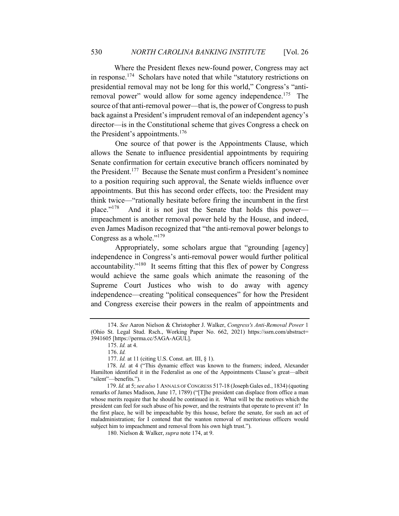Where the President flexes new-found power, Congress may act in response.<sup>174</sup> Scholars have noted that while "statutory restrictions on presidential removal may not be long for this world," Congress's "antiremoval power" would allow for some agency independence.<sup>175</sup> The source of that anti-removal power—that is, the power of Congress to push back against a President's imprudent removal of an independent agency's director—is in the Constitutional scheme that gives Congress a check on the President's appointments.<sup>176</sup>

 One source of that power is the Appointments Clause, which allows the Senate to influence presidential appointments by requiring Senate confirmation for certain executive branch officers nominated by the President. <sup>177</sup> Because the Senate must confirm a President's nominee to a position requiring such approval, the Senate wields influence over appointments. But this has second order effects, too: the President may think twice—"rationally hesitate before firing the incumbent in the first place."178 And it is not just the Senate that holds this power impeachment is another removal power held by the House, and indeed, even James Madison recognized that "the anti-removal power belongs to Congress as a whole."<sup>179</sup>

 Appropriately, some scholars argue that "grounding [agency] independence in Congress's anti-removal power would further political accountability."<sup>180</sup> It seems fitting that this flex of power by Congress would achieve the same goals which animate the reasoning of the Supreme Court Justices who wish to do away with agency independence—creating "political consequences" for how the President and Congress exercise their powers in the realm of appointments and

<sup>174.</sup> *See* Aaron Nielson & Christopher J. Walker, *Congress's Anti-Removal Power* 1 (Ohio St. Legal Stud. Rsch., Working Paper No. 662, 2021) https://ssrn.com/abstract= 3941605 [https://perma.cc/5AGA-AGUL].

<sup>175.</sup> *Id.* at 4.

<sup>176.</sup> *Id.*

<sup>177.</sup> *Id.* at 11 (citing U.S. Const. art. III, § 1).

 <sup>178.</sup> *Id.* at 4 ("This dynamic effect was known to the framers; indeed, Alexander Hamilton identified it in the Federalist as one of the Appointments Clause's great—albeit "silent"—benefits.").

 <sup>179.</sup> *Id.* at 5; *see also* 1 ANNALS OF CONGRESS 517-18 (Joseph Gales ed., 1834) (quoting remarks of James Madison, June 17, 1789) ("[T]he president can displace from office a man whose merits require that he should be continued in it. What will be the motives which the president can feel for such abuse of his power, and the restraints that operate to prevent it? In the first place, he will be impeachable by this house, before the senate, for such an act of maladministration; for I contend that the wanton removal of meritorious officers would subject him to impeachment and removal from his own high trust.").

<sup>180.</sup> Nielson & Walker, *supra* note 174, at 9.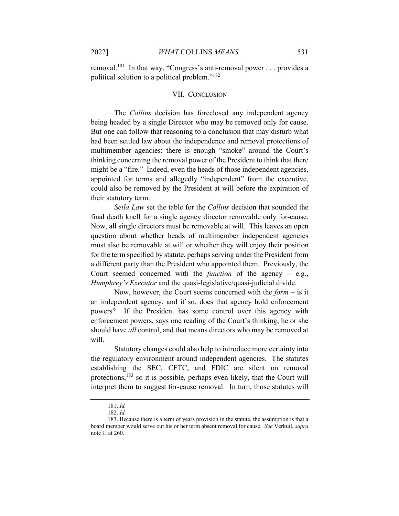removal.<sup>181</sup> In that way, "Congress's anti-removal power . . . provides a political solution to a political problem."182

#### VII. CONCLUSION

The *Collins* decision has foreclosed any independent agency being headed by a single Director who may be removed only for cause. But one can follow that reasoning to a conclusion that may disturb what had been settled law about the independence and removal protections of multimember agencies: there is enough "smoke" around the Court's thinking concerning the removal power of the President to think that there might be a "fire." Indeed, even the heads of those independent agencies, appointed for terms and allegedly "independent" from the executive, could also be removed by the President at will before the expiration of their statutory term.

*Seila Law* set the table for the *Collins* decision that sounded the final death knell for a single agency director removable only for-cause. Now, all single directors must be removable at will. This leaves an open question about whether heads of multimember independent agencies must also be removable at will or whether they will enjoy their position for the term specified by statute, perhaps serving under the President from a different party than the President who appointed them. Previously, the Court seemed concerned with the *function* of the agency – e.g., *Humphrey's Executor* and the quasi-legislative/quasi-judicial divide.

Now, however, the Court seems concerned with the *form* – is it an independent agency, and if so, does that agency hold enforcement powers? If the President has some control over this agency with enforcement powers, says one reading of the Court's thinking, he or she should have *all* control, and that means directors who may be removed at will.

Statutory changes could also help to introduce more certainty into the regulatory environment around independent agencies. The statutes establishing the SEC, CFTC, and FDIC are silent on removal protections,<sup>183</sup> so it is possible, perhaps even likely, that the Court will interpret them to suggest for-cause removal. In turn, those statutes will

<sup>181.</sup> *Id.*

<sup>182.</sup> *Id.*

<sup>183.</sup> Because there is a term of years provision in the statute, the assumption is that a board member would serve out his or her term absent removal for cause. *See* Verkuil, *supra*  note 1, at 260.